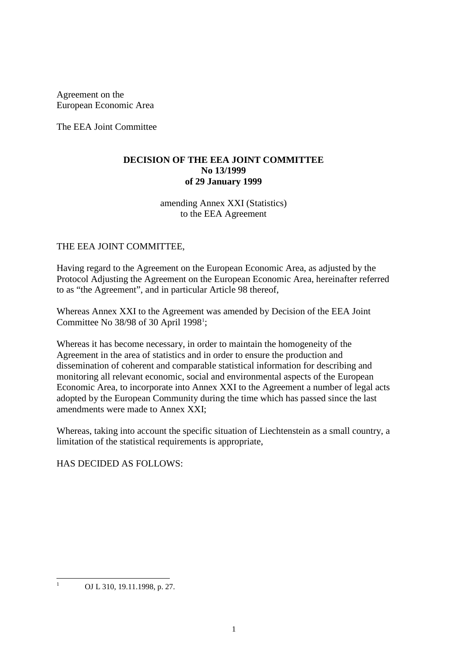Agreement on the European Economic Area

The EEA Joint Committee

### **DECISION OF THE EEA JOINT COMMITTEE No 13/1999 of 29 January 1999**

amending Annex XXI (Statistics) to the EEA Agreement

### THE EEA JOINT COMMITTEE,

Having regard to the Agreement on the European Economic Area, as adjusted by the Protocol Adjusting the Agreement on the European Economic Area, hereinafter referred to as "the Agreement", and in particular Article 98 thereof,

Whereas Annex XXI to the Agreement was amended by Decision of the EEA Joint Committee No  $38/98$  of 30 April [1](#page-0-0)998<sup>1</sup>;

Whereas it has become necessary, in order to maintain the homogeneity of the Agreement in the area of statistics and in order to ensure the production and dissemination of coherent and comparable statistical information for describing and monitoring all relevant economic, social and environmental aspects of the European Economic Area, to incorporate into Annex XXI to the Agreement a number of legal acts adopted by the European Community during the time which has passed since the last amendments were made to Annex XXI;

Whereas, taking into account the specific situation of Liechtenstein as a small country, a limitation of the statistical requirements is appropriate,

# <span id="page-0-1"></span>HAS DECIDED AS FOLLOWS:

<span id="page-0-0"></span><sup>&</sup>lt;sup>1</sup> OJ L 310, 19.11.1998, p. 27.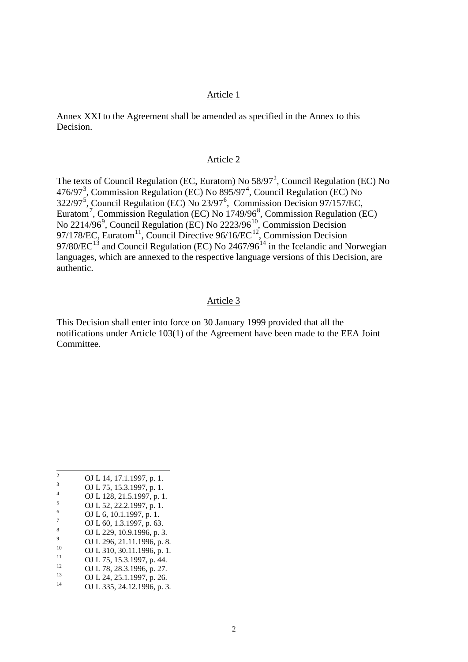#### Article 1

Annex XXI to the Agreement shall be amended as specified in the Annex to this Decision.

### Article 2

The texts of Council Regulation (EC, Euratom) No  $58/97^2$  $58/97^2$ , Council Regulation (EC) No 476/97<sup>[3](#page-1-0)</sup>, Commission Regulation (EC) No  $895/97<sup>4</sup>$  $895/97<sup>4</sup>$  $895/97<sup>4</sup>$ , Council Regulation (EC) No 322/97<sup>[5](#page-1-2)</sup>, Council Regulation (EC) No 23/97<sup>[6](#page-1-3)</sup>, Commission Decision 97/157/EC, Euratom<sup>[7](#page-1-4)</sup>, Commission Regulation (EC) No 1749/96<sup>[8](#page-1-5)</sup>, Commission Regulation (EC) No 2214/[9](#page-1-6)6<sup>9</sup>, Council Regulation (EC) No 2223/96<sup>[10](#page-1-7)</sup>, Commission Decision 97/178/EC, Euratom<sup>[11](#page-1-8)</sup>, Council Directive 96/16/EC<sup>[12](#page-1-9)</sup>, Commission Decision 97/80/ $\text{EC}^{13}$  $\text{EC}^{13}$  $\text{EC}^{13}$  and Council Regulation (EC) No 2467/96<sup>[14](#page-1-11)</sup> in the Icelandic and Norwegian languages, which are annexed to the respective language versions of this Decision, are authentic.

#### Article 3

This Decision shall enter into force on 30 January 1999 provided that all the notifications under Article 103(1) of the Agreement have been made to the EEA Joint Committee.

- 
- <span id="page-1-3"></span>
- <span id="page-1-5"></span><span id="page-1-4"></span>
- <span id="page-1-6"></span>
- <span id="page-1-7"></span>
- 0 1 14, 17.1.1997, p. 1.<br>
3 0 1 14, 17.1.1997, p. 1.<br>
4 0 1 128, 21.5.1997, p. 1.<br>
5 0 1 128, 22.2.1997, p. 1.<br>
5 0 1 128, 22.2.1997, p. 1.<br>
5 0 1 16, 10.1.1997, p. 1.<br>
7 0 1 16, 10.1.1997, p. 63.<br>
8 0 1 229, 10.9.1996, p.
- <span id="page-1-9"></span><span id="page-1-8"></span>
- <span id="page-1-10"></span>

<span id="page-1-1"></span><span id="page-1-0"></span>

<span id="page-1-2"></span>

<span id="page-1-11"></span>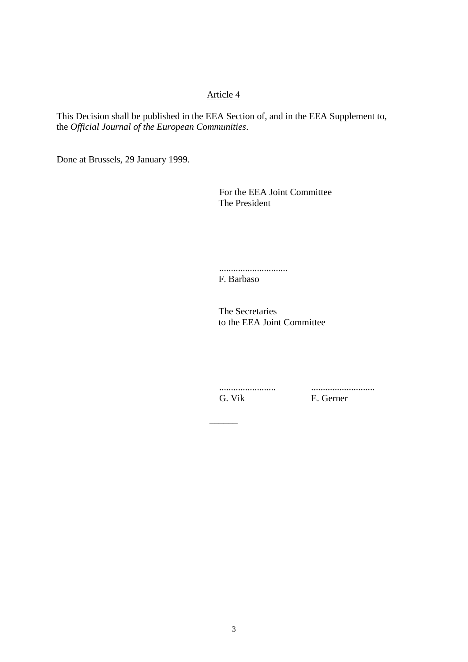# Article 4

This Decision shall be published in the EEA Section of, and in the EEA Supplement to, the *Official Journal of the European Communities*.

Done at Brussels, 29 January 1999.

For the EEA Joint Committee The President

............................. F. Barbaso

The Secretaries to the EEA Joint Committee

 $\overline{\phantom{a}}$ 

........................ ........................... G. Vik E. Gerner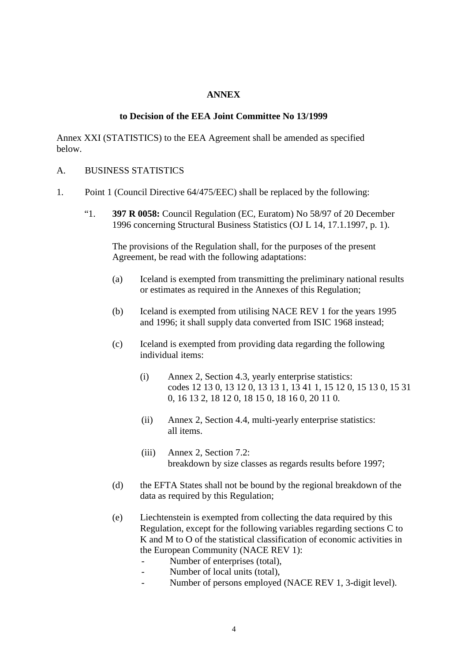### **ANNEX**

### **to Decision of the EEA Joint Committee No 13/1999**

Annex XXI (STATISTICS) to the EEA Agreement shall be amended as specified below.

#### A. BUSINESS STATISTICS

- 1. Point 1 (Council Directive 64/475/EEC) shall be replaced by the following:
	- "1. **397 R 0058:** Council Regulation (EC, Euratom) No 58/97 of 20 December 1996 concerning Structural Business Statistics (OJ L 14, 17.1.1997, p. 1).

The provisions of the Regulation shall, for the purposes of the present Agreement, be read with the following adaptations:

- (a) Iceland is exempted from transmitting the preliminary national results or estimates as required in the Annexes of this Regulation;
- (b) Iceland is exempted from utilising NACE REV 1 for the years 1995 and 1996; it shall supply data converted from ISIC 1968 instead;
- (c) Iceland is exempted from providing data regarding the following individual items:
	- (i) Annex 2, Section 4.3, yearly enterprise statistics: codes 12 13 0, 13 12 0, 13 13 1, 13 41 1, 15 12 0, 15 13 0, 15 31 0, 16 13 2, 18 12 0, 18 15 0, 18 16 0, 20 11 0.
	- (ii) Annex 2, Section 4.4, multi-yearly enterprise statistics: all items.
	- (iii) Annex 2, Section 7.2: breakdown by size classes as regards results before 1997;
- (d) the EFTA States shall not be bound by the regional breakdown of the data as required by this Regulation;
- (e) Liechtenstein is exempted from collecting the data required by this Regulation, except for the following variables regarding sections C to K and M to O of the statistical classification of economic activities in the European Community (NACE REV 1):
	- Number of enterprises (total),
	- Number of local units (total),
	- Number of persons employed (NACE REV 1, 3-digit level).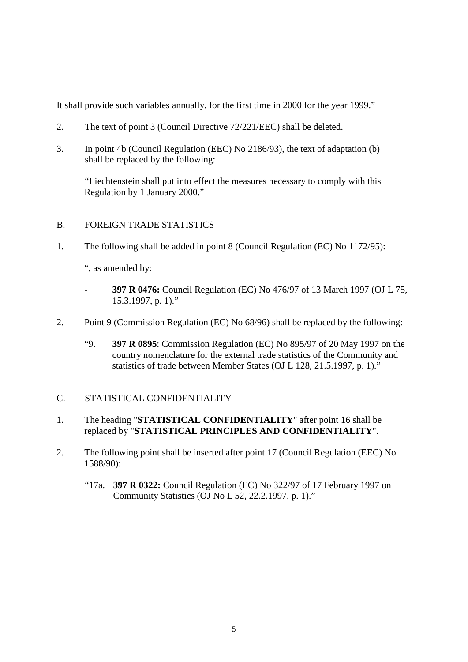It shall provide such variables annually, for the first time in 2000 for the year 1999."

- 2. The text of point 3 (Council Directive 72/221/EEC) shall be deleted.
- 3. In point 4b (Council Regulation (EEC) No 2186/93), the text of adaptation (b) shall be replaced by the following:

"Liechtenstein shall put into effect the measures necessary to comply with this Regulation by 1 January 2000."

- B. FOREIGN TRADE STATISTICS
- 1. The following shall be added in point 8 (Council Regulation (EC) No 1172/95):

", as amended by:

- **397 R 0476:** Council Regulation (EC) No 476/97 of 13 March 1997 (OJ L 75, 15.3.1997, p. 1)."
- 2. Point 9 (Commission Regulation (EC) No 68/96) shall be replaced by the following:
	- "9. **397 R 0895**: Commission Regulation (EC) No 895/97 of 20 May 1997 on the country nomenclature for the external trade statistics of the Community and statistics of trade between Member States (OJ L 128, 21.5.1997, p. 1)."

# C. STATISTICAL CONFIDENTIALITY

- 1. The heading "**STATISTICAL CONFIDENTIALITY**" after point 16 shall be replaced by "**STATISTICAL PRINCIPLES AND CONFIDENTIALITY**".
- 2. The following point shall be inserted after point 17 (Council Regulation (EEC) No 1588/90):
	- "17a. **397 R 0322:** Council Regulation (EC) No 322/97 of 17 February 1997 on Community Statistics (OJ No L 52, 22.2.1997, p. 1)."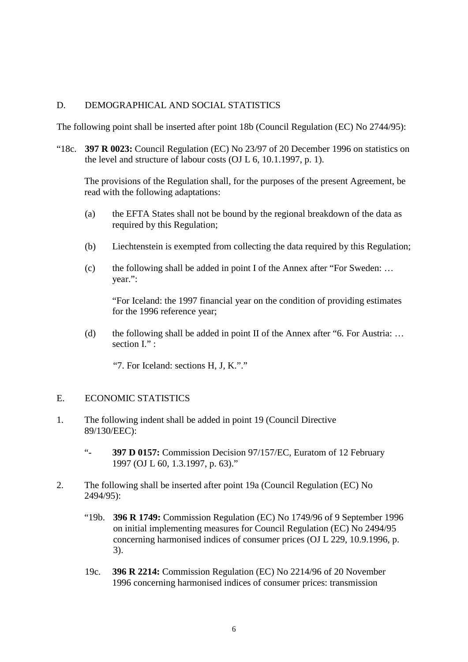### D. DEMOGRAPHICAL AND SOCIAL STATISTICS

The following point shall be inserted after point 18b (Council Regulation (EC) No 2744/95):

"18c. **397 R 0023:** Council Regulation (EC) No 23/97 of 20 December 1996 on statistics on the level and structure of labour costs (OJ L 6, 10.1.1997, p. 1).

The provisions of the Regulation shall, for the purposes of the present Agreement, be read with the following adaptations:

- (a) the EFTA States shall not be bound by the regional breakdown of the data as required by this Regulation;
- (b) Liechtenstein is exempted from collecting the data required by this Regulation;
- (c) the following shall be added in point I of the Annex after "For Sweden: … year.":

"For Iceland: the 1997 financial year on the condition of providing estimates for the 1996 reference year;

(d) the following shall be added in point II of the Annex after "6. For Austria: … section I." :

"7. For Iceland: sections H, J, K."."

#### E. ECONOMIC STATISTICS

- 1. The following indent shall be added in point 19 (Council Directive 89/130/EEC):
	- "- **397 D 0157:** Commission Decision 97/157/EC, Euratom of 12 February 1997 (OJ L 60, 1.3.1997, p. 63)."
- 2. The following shall be inserted after point 19a (Council Regulation (EC) No 2494/95):
	- "19b. **396 R 1749:** Commission Regulation (EC) No 1749/96 of 9 September 1996 on initial implementing measures for Council Regulation (EC) No 2494/95 concerning harmonised indices of consumer prices (OJ L 229, 10.9.1996, p. 3).
	- 19c. **396 R 2214:** Commission Regulation (EC) No 2214/96 of 20 November 1996 concerning harmonised indices of consumer prices: transmission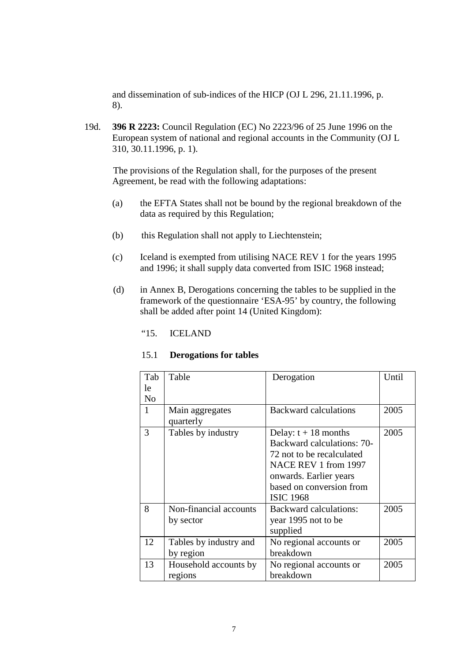and dissemination of sub-indices of the HICP (OJ L 296, 21.11.1996, p. 8).

19d. **396 R 2223:** Council Regulation (EC) No 2223/96 of 25 June 1996 on the European system of national and regional accounts in the Community (OJ L 310, 30.11.1996, p. 1).

The provisions of the Regulation shall, for the purposes of the present Agreement, be read with the following adaptations:

- (a) the EFTA States shall not be bound by the regional breakdown of the data as required by this Regulation;
- (b) this Regulation shall not apply to Liechtenstein;
- (c) Iceland is exempted from utilising NACE REV 1 for the years 1995 and 1996; it shall supply data converted from ISIC 1968 instead;
- (d) in Annex B, Derogations concerning the tables to be supplied in the framework of the questionnaire 'ESA-95' by country, the following shall be added after point 14 (United Kingdom):

"15. ICELAND

#### 15.1 **Derogations for tables**

| Tab            | Table                        | Derogation                    | Until |
|----------------|------------------------------|-------------------------------|-------|
| le             |                              |                               |       |
| N <sub>0</sub> |                              |                               |       |
| $\mathbf{1}$   | Main aggregates<br>quarterly | Backward calculations         | 2005  |
| 3              | Tables by industry           | Delay: $t + 18$ months        | 2005  |
|                |                              | Backward calculations: 70-    |       |
|                |                              | 72 not to be recalculated     |       |
|                |                              | NACE REV 1 from 1997          |       |
|                |                              | onwards. Earlier years        |       |
|                |                              | based on conversion from      |       |
|                |                              | <b>ISIC 1968</b>              |       |
| 8              | Non-financial accounts       | <b>Backward calculations:</b> | 2005  |
|                | by sector                    | year 1995 not to be           |       |
|                |                              | supplied                      |       |
| 12             | Tables by industry and       | No regional accounts or       | 2005  |
|                | by region                    | breakdown                     |       |
| 13             | Household accounts by        | No regional accounts or       | 2005  |
|                | regions                      | breakdown                     |       |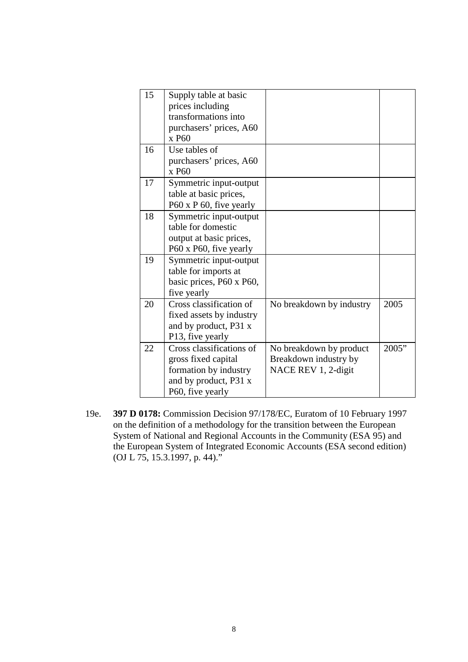| Use tables of            |                                                                                                                                                                                                                                                                                                       |                                                                         |
|--------------------------|-------------------------------------------------------------------------------------------------------------------------------------------------------------------------------------------------------------------------------------------------------------------------------------------------------|-------------------------------------------------------------------------|
| purchasers' prices, A60  |                                                                                                                                                                                                                                                                                                       |                                                                         |
| x P60                    |                                                                                                                                                                                                                                                                                                       |                                                                         |
| Symmetric input-output   |                                                                                                                                                                                                                                                                                                       |                                                                         |
|                          |                                                                                                                                                                                                                                                                                                       |                                                                         |
| P60 x P 60, five yearly  |                                                                                                                                                                                                                                                                                                       |                                                                         |
| Symmetric input-output   |                                                                                                                                                                                                                                                                                                       |                                                                         |
| table for domestic       |                                                                                                                                                                                                                                                                                                       |                                                                         |
| output at basic prices,  |                                                                                                                                                                                                                                                                                                       |                                                                         |
| P60 x P60, five yearly   |                                                                                                                                                                                                                                                                                                       |                                                                         |
| Symmetric input-output   |                                                                                                                                                                                                                                                                                                       |                                                                         |
| table for imports at     |                                                                                                                                                                                                                                                                                                       |                                                                         |
| basic prices, P60 x P60, |                                                                                                                                                                                                                                                                                                       |                                                                         |
| five yearly              |                                                                                                                                                                                                                                                                                                       |                                                                         |
| Cross classification of  | No breakdown by industry                                                                                                                                                                                                                                                                              | 2005                                                                    |
|                          |                                                                                                                                                                                                                                                                                                       |                                                                         |
|                          |                                                                                                                                                                                                                                                                                                       |                                                                         |
|                          |                                                                                                                                                                                                                                                                                                       |                                                                         |
| Cross classifications of |                                                                                                                                                                                                                                                                                                       | 2005"                                                                   |
|                          |                                                                                                                                                                                                                                                                                                       |                                                                         |
|                          |                                                                                                                                                                                                                                                                                                       |                                                                         |
|                          |                                                                                                                                                                                                                                                                                                       |                                                                         |
|                          |                                                                                                                                                                                                                                                                                                       |                                                                         |
|                          | Supply table at basic<br>prices including<br>transformations into<br>purchasers' prices, A60<br>x P60<br>table at basic prices,<br>fixed assets by industry<br>and by product, P31 x<br>P13, five yearly<br>gross fixed capital<br>formation by industry<br>and by product, P31 x<br>P60, five yearly | No breakdown by product<br>Breakdown industry by<br>NACE REV 1, 2-digit |

19e. **397 D 0178:** Commission Decision 97/178/EC, Euratom of 10 February 1997 on the definition of a methodology for the transition between the European System of National and Regional Accounts in the Community (ESA 95) and the European System of Integrated Economic Accounts (ESA second edition) (OJ L 75, 15.3.1997, p. 44)."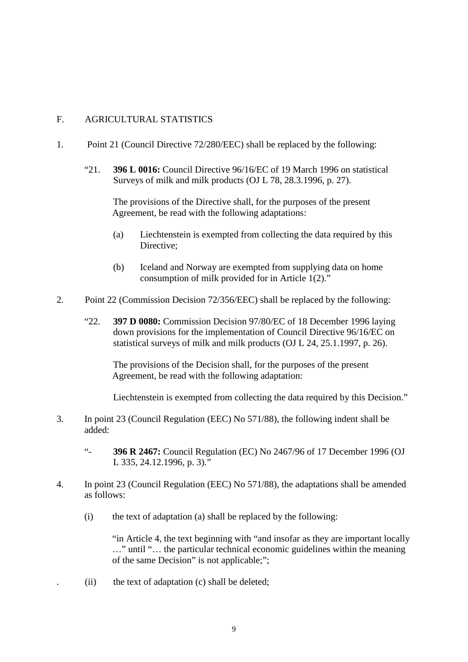### F. AGRICULTURAL STATISTICS

- 1. Point 21 (Council Directive 72/280/EEC) shall be replaced by the following:
	- "21. **396 L 0016:** Council Directive 96/16/EC of 19 March 1996 on statistical Surveys of milk and milk products (OJ L 78, 28.3.1996, p. 27).

The provisions of the Directive shall, for the purposes of the present Agreement, be read with the following adaptations:

- (a) Liechtenstein is exempted from collecting the data required by this Directive;
- (b) Iceland and Norway are exempted from supplying data on home consumption of milk provided for in Article 1(2)."
- 2. Point 22 (Commission Decision 72/356/EEC) shall be replaced by the following:
	- "22. **397 D 0080:** Commission Decision 97/80/EC of 18 December 1996 laying down provisions for the implementation of Council Directive 96/16/EC on statistical surveys of milk and milk products (OJ L 24, 25.1.1997, p. 26).

The provisions of the Decision shall, for the purposes of the present Agreement, be read with the following adaptation:

Liechtenstein is exempted from collecting the data required by this Decision."

- 3. In point 23 (Council Regulation (EEC) No 571/88), the following indent shall be added:
	- "- **396 R 2467:** Council Regulation (EC) No 2467/96 of 17 December 1996 (OJ L 335, 24.12.1996, p. 3)."
- 4. In point 23 (Council Regulation (EEC) No 571/88), the adaptations shall be amended as follows:
	- (i) the text of adaptation (a) shall be replaced by the following:

"in Article 4, the text beginning with "and insofar as they are important locally …" until "… the particular technical economic guidelines within the meaning of the same Decision" is not applicable;";

. (ii) the text of adaptation (c) shall be deleted;